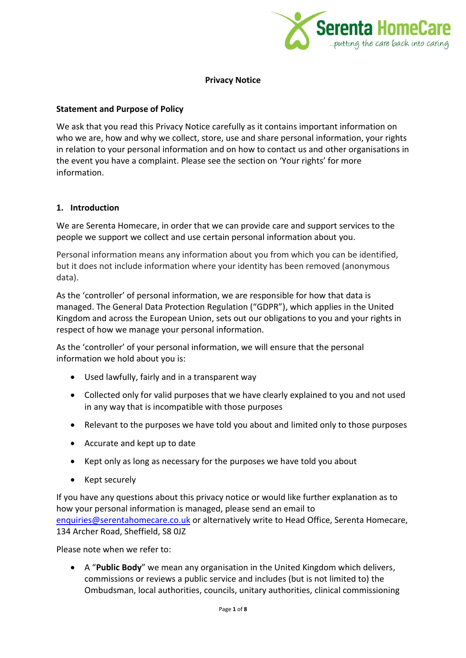

#### **Privacy Notice**

#### **Statement and Purpose of Policy**

We ask that you read this Privacy Notice carefully as it contains important information on who we are, how and why we collect, store, use and share personal information, your rights in relation to your personal information and on how to contact us and other organisations in the event you have a complaint. Please see the section on 'Your rights' for more information.

#### **1. Introduction**

We are Serenta Homecare, in order that we can provide care and support services to the people we support we collect and use certain personal information about you.

Personal information means any information about you from which you can be identified, but it does not include information where your identity has been removed (anonymous data).

As the 'controller' of personal information, we are responsible for how that data is managed. The General Data Protection Regulation ("GDPR"), which applies in the United Kingdom and across the European Union, sets out our obligations to you and your rights in respect of how we manage your personal information.

As the 'controller' of your personal information, we will ensure that the personal information we hold about you is:

- Used lawfully, fairly and in a transparent way
- Collected only for valid purposes that we have clearly explained to you and not used in any way that is incompatible with those purposes
- Relevant to the purposes we have told you about and limited only to those purposes
- Accurate and kept up to date
- Kept only as long as necessary for the purposes we have told you about
- Kept securely

If you have any questions about this privacy notice or would like further explanation as to how your personal information is managed, please send an email to [enquiries@serentahomecare.co.uk](mailto:enquiries@serentahomecare.co.uk) or alternatively write to Head Office, Serenta Homecare, 134 Archer Road, Sheffield, S8 0JZ

Please note when we refer to:

• A "**Public Body**" we mean any organisation in the United Kingdom which delivers, commissions or reviews a public service and includes (but is not limited to) the Ombudsman, local authorities, councils, unitary authorities, clinical commissioning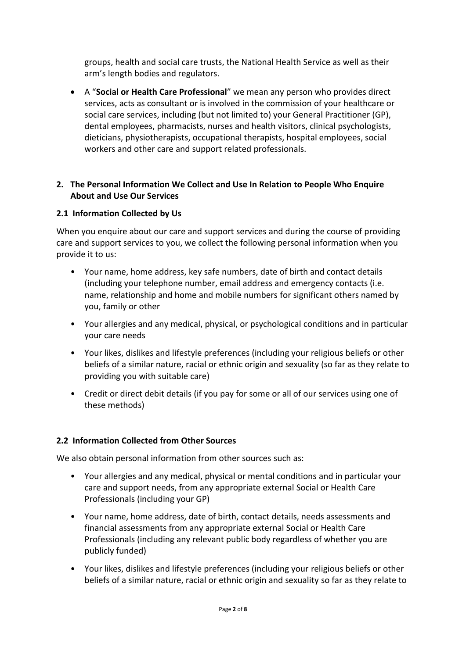groups, health and social care trusts, the National Health Service as well as their arm's length bodies and regulators.

• A "**Social or Health Care Professional**" we mean any person who provides direct services, acts as consultant or is involved in the commission of your healthcare or social care services, including (but not limited to) your General Practitioner (GP), dental employees, pharmacists, nurses and health visitors, clinical psychologists, dieticians, physiotherapists, occupational therapists, hospital employees, social workers and other care and support related professionals.

### **2. The Personal Information We Collect and Use In Relation to People Who Enquire About and Use Our Services**

### **2.1 Information Collected by Us**

When you enquire about our care and support services and during the course of providing care and support services to you, we collect the following personal information when you provide it to us:

- Your name, home address, key safe numbers, date of birth and contact details (including your telephone number, email address and emergency contacts (i.e. name, relationship and home and mobile numbers for significant others named by you, family or other
- Your allergies and any medical, physical, or psychological conditions and in particular your care needs
- Your likes, dislikes and lifestyle preferences (including your religious beliefs or other beliefs of a similar nature, racial or ethnic origin and sexuality (so far as they relate to providing you with suitable care)
- Credit or direct debit details (if you pay for some or all of our services using one of these methods)

# **2.2 Information Collected from Other Sources**

We also obtain personal information from other sources such as:

- Your allergies and any medical, physical or mental conditions and in particular your care and support needs, from any appropriate external Social or Health Care Professionals (including your GP)
- Your name, home address, date of birth, contact details, needs assessments and financial assessments from any appropriate external Social or Health Care Professionals (including any relevant public body regardless of whether you are publicly funded)
- Your likes, dislikes and lifestyle preferences (including your religious beliefs or other beliefs of a similar nature, racial or ethnic origin and sexuality so far as they relate to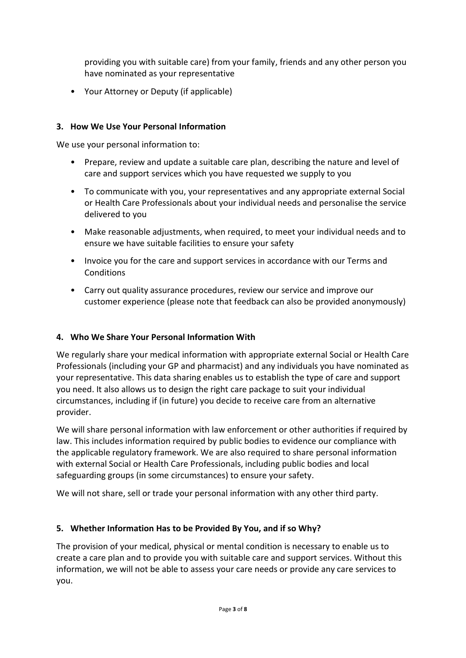providing you with suitable care) from your family, friends and any other person you have nominated as your representative

• Your Attorney or Deputy (if applicable)

# **3. How We Use Your Personal Information**

We use your personal information to:

- Prepare, review and update a suitable care plan, describing the nature and level of care and support services which you have requested we supply to you
- To communicate with you, your representatives and any appropriate external Social or Health Care Professionals about your individual needs and personalise the service delivered to you
- Make reasonable adjustments, when required, to meet your individual needs and to ensure we have suitable facilities to ensure your safety
- Invoice you for the care and support services in accordance with our Terms and **Conditions**
- Carry out quality assurance procedures, review our service and improve our customer experience (please note that feedback can also be provided anonymously)

# **4. Who We Share Your Personal Information With**

We regularly share your medical information with appropriate external Social or Health Care Professionals (including your GP and pharmacist) and any individuals you have nominated as your representative. This data sharing enables us to establish the type of care and support you need. It also allows us to design the right care package to suit your individual circumstances, including if (in future) you decide to receive care from an alternative provider.

We will share personal information with law enforcement or other authorities if required by law. This includes information required by public bodies to evidence our compliance with the applicable regulatory framework. We are also required to share personal information with external Social or Health Care Professionals, including public bodies and local safeguarding groups (in some circumstances) to ensure your safety.

We will not share, sell or trade your personal information with any other third party.

# **5. Whether Information Has to be Provided By You, and if so Why?**

The provision of your medical, physical or mental condition is necessary to enable us to create a care plan and to provide you with suitable care and support services. Without this information, we will not be able to assess your care needs or provide any care services to you.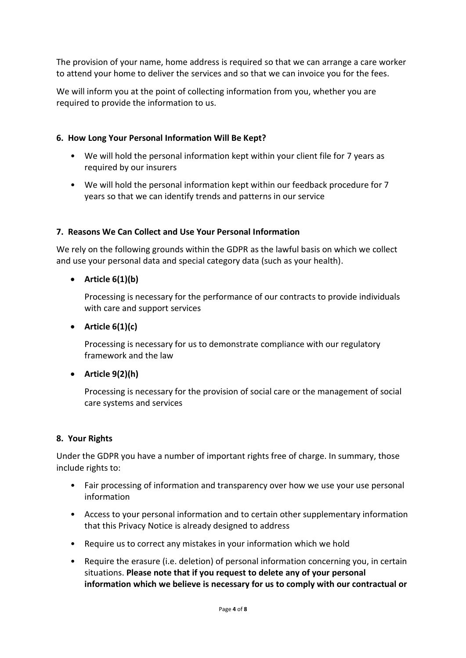The provision of your name, home address is required so that we can arrange a care worker to attend your home to deliver the services and so that we can invoice you for the fees.

We will inform you at the point of collecting information from you, whether you are required to provide the information to us.

### **6. How Long Your Personal Information Will Be Kept?**

- We will hold the personal information kept within your client file for 7 years as required by our insurers
- We will hold the personal information kept within our feedback procedure for 7 years so that we can identify trends and patterns in our service

#### **7. Reasons We Can Collect and Use Your Personal Information**

We rely on the following grounds within the GDPR as the lawful basis on which we collect and use your personal data and special category data (such as your health).

### • **Article 6(1)(b)**

Processing is necessary for the performance of our contracts to provide individuals with care and support services

#### • **Article 6(1)(c)**

Processing is necessary for us to demonstrate compliance with our regulatory framework and the law

# • **Article 9(2)(h)**

Processing is necessary for the provision of social care or the management of social care systems and services

#### **8. Your Rights**

Under the GDPR you have a number of important rights free of charge. In summary, those include rights to:

- Fair processing of information and transparency over how we use your use personal information
- Access to your personal information and to certain other supplementary information that this Privacy Notice is already designed to address
- Require us to correct any mistakes in your information which we hold
- Require the erasure (i.e. deletion) of personal information concerning you, in certain situations. **Please note that if you request to delete any of your personal information which we believe is necessary for us to comply with our contractual or**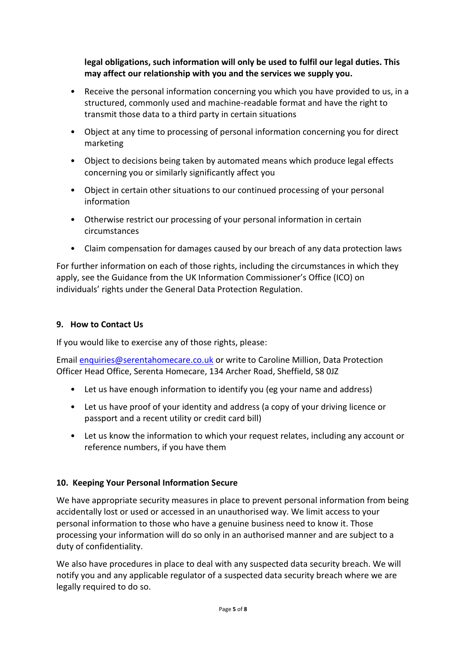**legal obligations, such information will only be used to fulfil our legal duties. This may affect our relationship with you and the services we supply you.**

- Receive the personal information concerning you which you have provided to us, in a structured, commonly used and machine-readable format and have the right to transmit those data to a third party in certain situations
- Object at any time to processing of personal information concerning you for direct marketing
- Object to decisions being taken by automated means which produce legal effects concerning you or similarly significantly affect you
- Object in certain other situations to our continued processing of your personal information
- Otherwise restrict our processing of your personal information in certain circumstances
- Claim compensation for damages caused by our breach of any data protection laws

For further information on each of those rights, including the circumstances in which they apply, see the Guidance from the UK Information Commissioner's Office (ICO) on individuals' rights under the General Data Protection Regulation.

#### **9. How to Contact Us**

If you would like to exercise any of those rights, please:

Email [enquiries@serentahomecare.co.uk](mailto:enquiries@serentahomecare.co.uk) or write to Caroline Million, Data Protection Officer Head Office, Serenta Homecare, 134 Archer Road, Sheffield, S8 0JZ

- Let us have enough information to identify you (eg your name and address)
- Let us have proof of your identity and address (a copy of your driving licence or passport and a recent utility or credit card bill)
- Let us know the information to which your request relates, including any account or reference numbers, if you have them

# **10. Keeping Your Personal Information Secure**

We have appropriate security measures in place to prevent personal information from being accidentally lost or used or accessed in an unauthorised way. We limit access to your personal information to those who have a genuine business need to know it. Those processing your information will do so only in an authorised manner and are subject to a duty of confidentiality.

We also have procedures in place to deal with any suspected data security breach. We will notify you and any applicable regulator of a suspected data security breach where we are legally required to do so.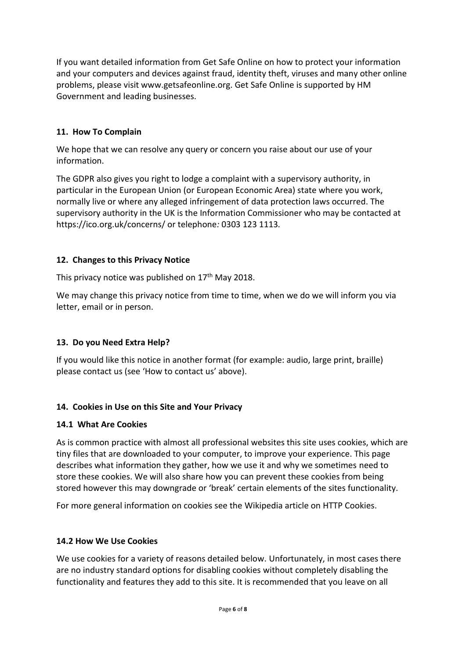If you want detailed information from Get Safe Online on how to protect your information and your computers and devices against fraud, identity theft, viruses and many other online problems, please visit www.getsafeonline.org. Get Safe Online is supported by HM Government and leading businesses.

### **11. How To Complain**

We hope that we can resolve any query or concern you raise about our use of your information.

The GDPR also gives you right to lodge a complaint with a supervisory authority, in particular in the European Union (or European Economic Area) state where you work, normally live or where any alleged infringement of data protection laws occurred. The supervisory authority in the UK is the Information Commissioner who may be contacted at https://ico.org.uk/concerns/ or telephone*:* 0303 123 1113*.*

### **12. Changes to this Privacy Notice**

This privacy notice was published on 17<sup>th</sup> May 2018.

We may change this privacy notice from time to time, when we do we will inform you via letter, email or in person.

#### **13. Do you Need Extra Help?**

If you would like this notice in another format (for example: audio, large print, braille) please contact us (see 'How to contact us' above).

#### **14. Cookies in Use on this Site and Your Privacy**

#### **14.1 What Are Cookies**

As is common practice with almost all professional websites this site uses cookies, which are tiny files that are downloaded to your computer, to improve your experience. This page describes what information they gather, how we use it and why we sometimes need to store these cookies. We will also share how you can prevent these cookies from being stored however this may downgrade or 'break' certain elements of the sites functionality.

For more general information on cookies see the Wikipedia article on HTTP Cookies.

#### **14.2 How We Use Cookies**

We use cookies for a variety of reasons detailed below. Unfortunately, in most cases there are no industry standard options for disabling cookies without completely disabling the functionality and features they add to this site. It is recommended that you leave on all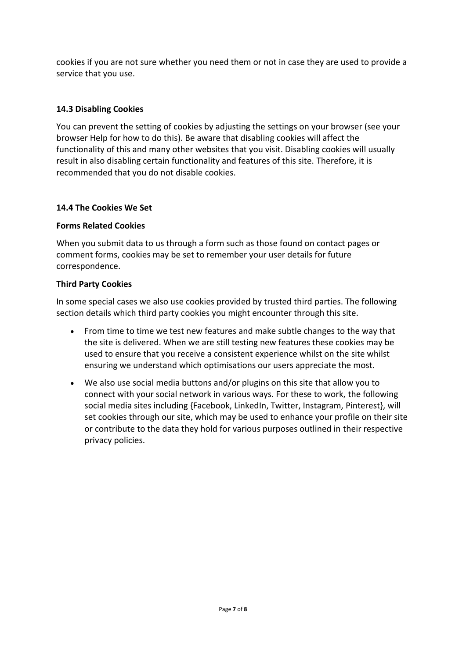cookies if you are not sure whether you need them or not in case they are used to provide a service that you use.

### **14.3 Disabling Cookies**

You can prevent the setting of cookies by adjusting the settings on your browser (see your browser Help for how to do this). Be aware that disabling cookies will affect the functionality of this and many other websites that you visit. Disabling cookies will usually result in also disabling certain functionality and features of this site. Therefore, it is recommended that you do not disable cookies.

#### **14.4 The Cookies We Set**

#### **Forms Related Cookies**

When you submit data to us through a form such as those found on contact pages or comment forms, cookies may be set to remember your user details for future correspondence.

#### **Third Party Cookies**

In some special cases we also use cookies provided by trusted third parties. The following section details which third party cookies you might encounter through this site.

- From time to time we test new features and make subtle changes to the way that the site is delivered. When we are still testing new features these cookies may be used to ensure that you receive a consistent experience whilst on the site whilst ensuring we understand which optimisations our users appreciate the most.
- We also use social media buttons and/or plugins on this site that allow you to connect with your social network in various ways. For these to work, the following social media sites including {Facebook, LinkedIn, Twitter, Instagram, Pinterest}, will set cookies through our site, which may be used to enhance your profile on their site or contribute to the data they hold for various purposes outlined in their respective privacy policies.